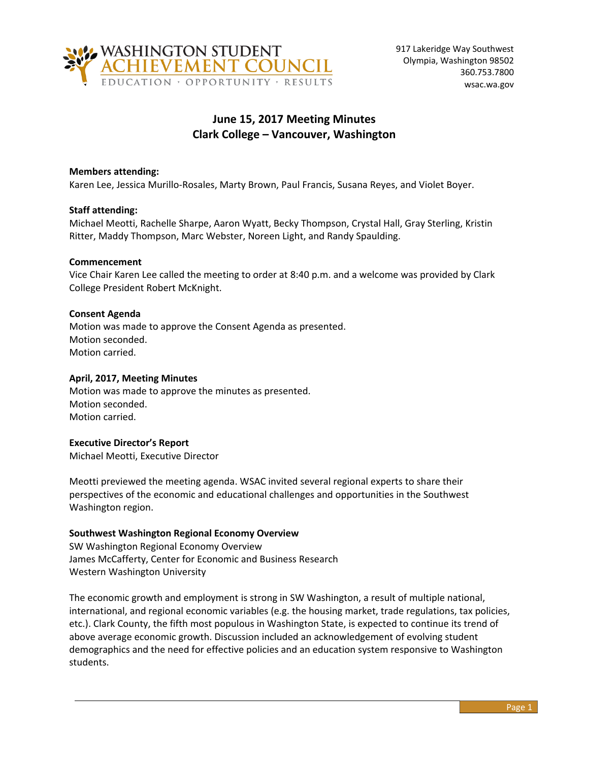

# **June 15, 2017 Meeting Minutes Clark College – Vancouver, Washington**

# **Members attending:**

Karen Lee, Jessica Murillo-Rosales, Marty Brown, Paul Francis, Susana Reyes, and Violet Boyer.

## **Staff attending:**

Michael Meotti, Rachelle Sharpe, Aaron Wyatt, Becky Thompson, Crystal Hall, Gray Sterling, Kristin Ritter, Maddy Thompson, Marc Webster, Noreen Light, and Randy Spaulding.

## **Commencement**

Vice Chair Karen Lee called the meeting to order at 8:40 p.m. and a welcome was provided by Clark College President Robert McKnight.

## **Consent Agenda**

Motion was made to approve the Consent Agenda as presented. Motion seconded. Motion carried.

# **April, 2017, Meeting Minutes**

Motion was made to approve the minutes as presented. Motion seconded. Motion carried.

#### **Executive Director's Report**

Michael Meotti, Executive Director

Meotti previewed the meeting agenda. WSAC invited several regional experts to share their perspectives of the economic and educational challenges and opportunities in the Southwest Washington region.

#### **Southwest Washington Regional Economy Overview**

SW Washington Regional Economy Overview James McCafferty, Center for Economic and Business Research Western Washington University

The economic growth and employment is strong in SW Washington, a result of multiple national, international, and regional economic variables (e.g. the housing market, trade regulations, tax policies, etc.). Clark County, the fifth most populous in Washington State, is expected to continue its trend of above average economic growth. Discussion included an acknowledgement of evolving student demographics and the need for effective policies and an education system responsive to Washington students.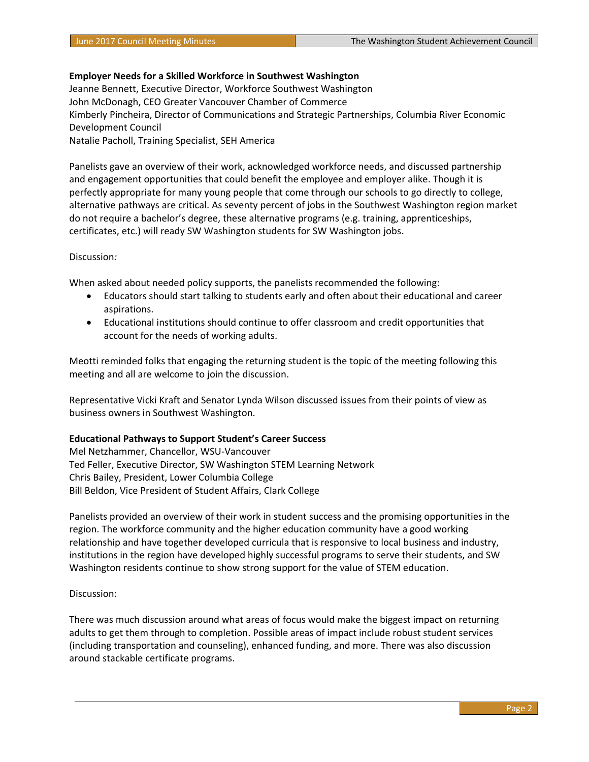## **Employer Needs for a Skilled Workforce in Southwest Washington**

Jeanne Bennett, Executive Director, Workforce Southwest Washington John McDonagh, CEO Greater Vancouver Chamber of Commerce Kimberly Pincheira, Director of Communications and Strategic Partnerships, Columbia River Economic Development Council Natalie Pacholl, Training Specialist, SEH America

Panelists gave an overview of their work, acknowledged workforce needs, and discussed partnership and engagement opportunities that could benefit the employee and employer alike. Though it is perfectly appropriate for many young people that come through our schools to go directly to college, alternative pathways are critical. As seventy percent of jobs in the Southwest Washington region market do not require a bachelor's degree, these alternative programs (e.g. training, apprenticeships, certificates, etc.) will ready SW Washington students for SW Washington jobs.

#### Discussion*:*

When asked about needed policy supports, the panelists recommended the following:

- Educators should start talking to students early and often about their educational and career aspirations.
- Educational institutions should continue to offer classroom and credit opportunities that account for the needs of working adults.

Meotti reminded folks that engaging the returning student is the topic of the meeting following this meeting and all are welcome to join the discussion.

Representative Vicki Kraft and Senator Lynda Wilson discussed issues from their points of view as business owners in Southwest Washington.

#### **Educational Pathways to Support Student's Career Success**

Mel Netzhammer, Chancellor, WSU-Vancouver Ted Feller, Executive Director, SW Washington STEM Learning Network Chris Bailey, President, Lower Columbia College Bill Beldon, Vice President of Student Affairs, Clark College

Panelists provided an overview of their work in student success and the promising opportunities in the region. The workforce community and the higher education community have a good working relationship and have together developed curricula that is responsive to local business and industry, institutions in the region have developed highly successful programs to serve their students, and SW Washington residents continue to show strong support for the value of STEM education.

#### Discussion:

There was much discussion around what areas of focus would make the biggest impact on returning adults to get them through to completion. Possible areas of impact include robust student services (including transportation and counseling), enhanced funding, and more. There was also discussion around stackable certificate programs.